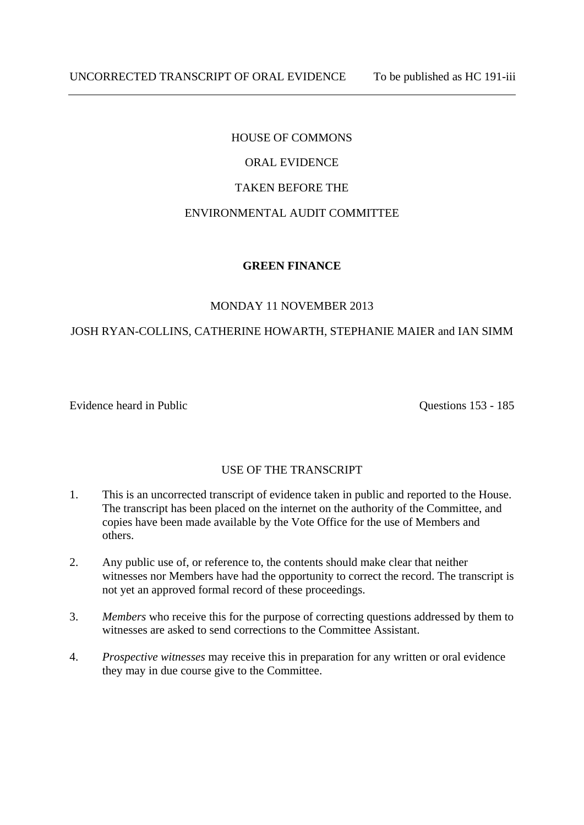## HOUSE OF COMMONS

# ORAL EVIDENCE

#### TAKEN BEFORE THE

### ENVIRONMENTAL AUDIT COMMITTEE

### **GREEN FINANCE**

#### MONDAY 11 NOVEMBER 2013

### JOSH RYAN-COLLINS, CATHERINE HOWARTH, STEPHANIE MAIER and IAN SIMM

Evidence heard in Public Contract Contract Contract Contract Contract Contract Contract Contract Contract Contract Contract Contract Contract Contract Contract Contract Contract Contract Contract Contract Contract Contract

## USE OF THE TRANSCRIPT

- 1. This is an uncorrected transcript of evidence taken in public and reported to the House. The transcript has been placed on the internet on the authority of the Committee, and copies have been made available by the Vote Office for the use of Members and others.
- 2. Any public use of, or reference to, the contents should make clear that neither witnesses nor Members have had the opportunity to correct the record. The transcript is not yet an approved formal record of these proceedings.
- 3. *Members* who receive this for the purpose of correcting questions addressed by them to witnesses are asked to send corrections to the Committee Assistant.
- 4. *Prospective witnesses* may receive this in preparation for any written or oral evidence they may in due course give to the Committee.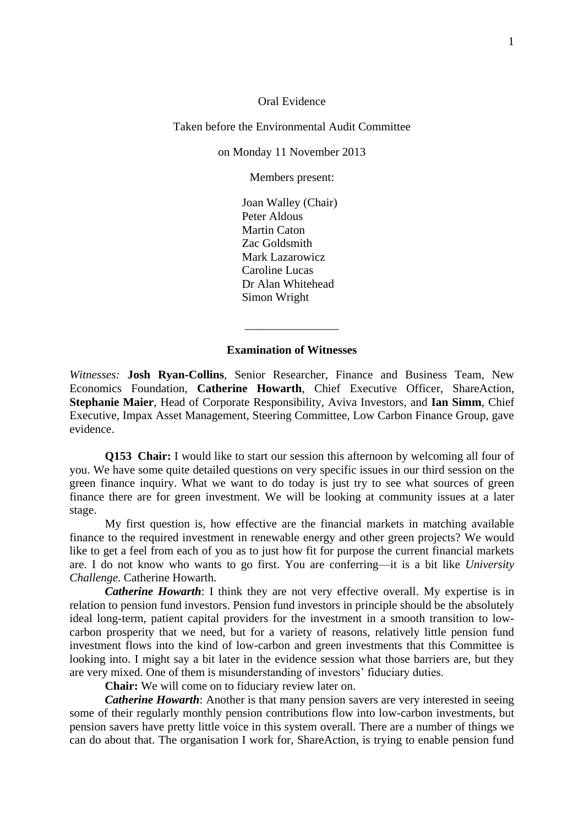Oral Evidence

Taken before the Environmental Audit Committee

on Monday 11 November 2013

Members present:

Joan Walley (Chair) Peter Aldous Martin Caton Zac Goldsmith Mark Lazarowicz Caroline Lucas Dr Alan Whitehead Simon Wright

#### **Examination of Witnesses**

\_\_\_\_\_\_\_\_\_\_\_\_\_\_\_\_

*Witnesses:* **Josh Ryan-Collins**, Senior Researcher, Finance and Business Team, New Economics Foundation, **Catherine Howarth**, Chief Executive Officer, ShareAction, **Stephanie Maier**, Head of Corporate Responsibility, Aviva Investors, and **Ian Simm**, Chief Executive, Impax Asset Management, Steering Committee, Low Carbon Finance Group, gave evidence.

**Q153 Chair:** I would like to start our session this afternoon by welcoming all four of you. We have some quite detailed questions on very specific issues in our third session on the green finance inquiry. What we want to do today is just try to see what sources of green finance there are for green investment. We will be looking at community issues at a later stage.

My first question is, how effective are the financial markets in matching available finance to the required investment in renewable energy and other green projects? We would like to get a feel from each of you as to just how fit for purpose the current financial markets are. I do not know who wants to go first. You are conferring—it is a bit like *University Challenge.* Catherine Howarth.

*Catherine Howarth*: I think they are not very effective overall. My expertise is in relation to pension fund investors. Pension fund investors in principle should be the absolutely ideal long-term, patient capital providers for the investment in a smooth transition to lowcarbon prosperity that we need, but for a variety of reasons, relatively little pension fund investment flows into the kind of low-carbon and green investments that this Committee is looking into. I might say a bit later in the evidence session what those barriers are, but they are very mixed. One of them is misunderstanding of investors' fiduciary duties.

**Chair:** We will come on to fiduciary review later on.

*Catherine Howarth*: Another is that many pension savers are very interested in seeing some of their regularly monthly pension contributions flow into low-carbon investments, but pension savers have pretty little voice in this system overall. There are a number of things we can do about that. The organisation I work for, ShareAction, is trying to enable pension fund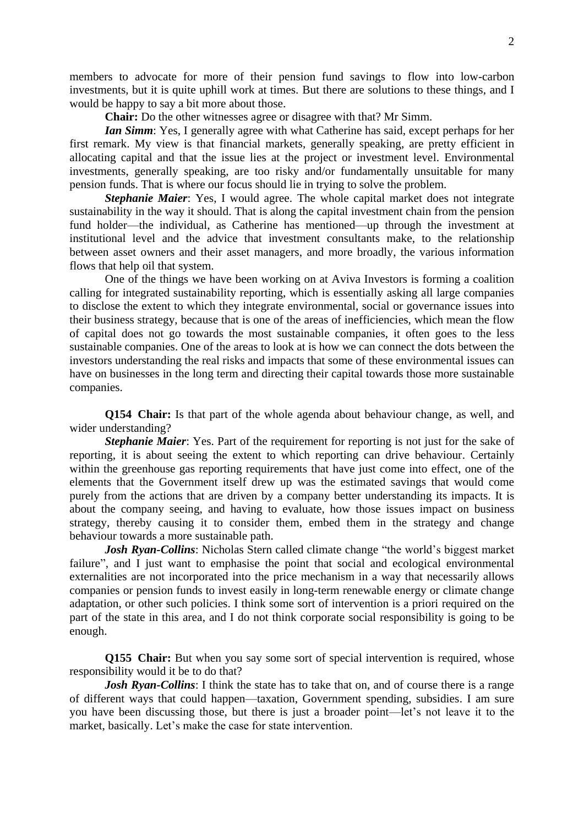members to advocate for more of their pension fund savings to flow into low-carbon investments, but it is quite uphill work at times. But there are solutions to these things, and I would be happy to say a bit more about those.

**Chair:** Do the other witnesses agree or disagree with that? Mr Simm.

*Ian Simm*: Yes, I generally agree with what Catherine has said, except perhaps for her first remark. My view is that financial markets, generally speaking, are pretty efficient in allocating capital and that the issue lies at the project or investment level. Environmental investments, generally speaking, are too risky and/or fundamentally unsuitable for many pension funds. That is where our focus should lie in trying to solve the problem.

*Stephanie Maier*: Yes, I would agree. The whole capital market does not integrate sustainability in the way it should. That is along the capital investment chain from the pension fund holder—the individual, as Catherine has mentioned—up through the investment at institutional level and the advice that investment consultants make, to the relationship between asset owners and their asset managers, and more broadly, the various information flows that help oil that system.

One of the things we have been working on at Aviva Investors is forming a coalition calling for integrated sustainability reporting, which is essentially asking all large companies to disclose the extent to which they integrate environmental, social or governance issues into their business strategy, because that is one of the areas of inefficiencies, which mean the flow of capital does not go towards the most sustainable companies, it often goes to the less sustainable companies. One of the areas to look at is how we can connect the dots between the investors understanding the real risks and impacts that some of these environmental issues can have on businesses in the long term and directing their capital towards those more sustainable companies.

**Q154 Chair:** Is that part of the whole agenda about behaviour change, as well, and wider understanding?

*Stephanie Maier*: Yes. Part of the requirement for reporting is not just for the sake of reporting, it is about seeing the extent to which reporting can drive behaviour. Certainly within the greenhouse gas reporting requirements that have just come into effect, one of the elements that the Government itself drew up was the estimated savings that would come purely from the actions that are driven by a company better understanding its impacts. It is about the company seeing, and having to evaluate, how those issues impact on business strategy, thereby causing it to consider them, embed them in the strategy and change behaviour towards a more sustainable path.

*Josh Ryan-Collins*: Nicholas Stern called climate change "the world's biggest market failure", and I just want to emphasise the point that social and ecological environmental externalities are not incorporated into the price mechanism in a way that necessarily allows companies or pension funds to invest easily in long-term renewable energy or climate change adaptation, or other such policies. I think some sort of intervention is a priori required on the part of the state in this area, and I do not think corporate social responsibility is going to be enough.

**Q155 Chair:** But when you say some sort of special intervention is required, whose responsibility would it be to do that?

*Josh Ryan-Collins*: I think the state has to take that on, and of course there is a range of different ways that could happen—taxation, Government spending, subsidies. I am sure you have been discussing those, but there is just a broader point—let's not leave it to the market, basically. Let's make the case for state intervention.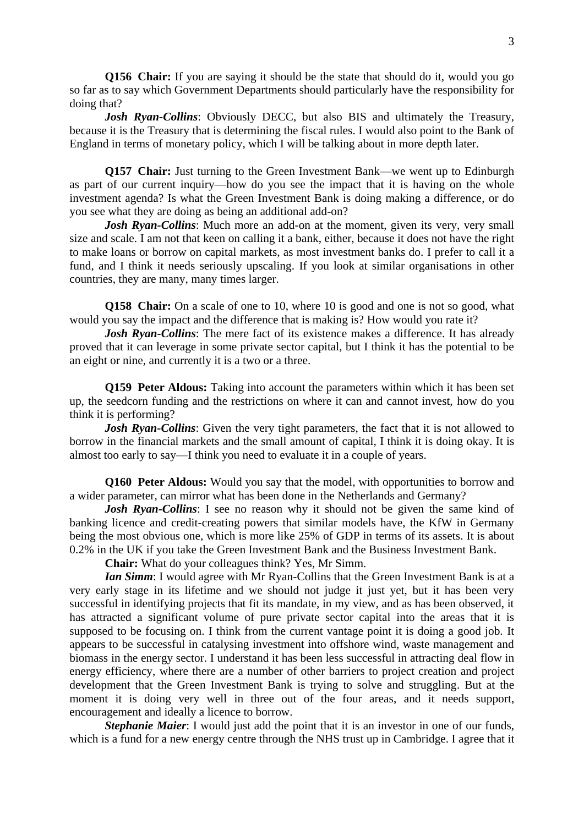**Q156 Chair:** If you are saying it should be the state that should do it, would you go so far as to say which Government Departments should particularly have the responsibility for doing that?

*Josh Ryan-Collins:* Obviously DECC, but also BIS and ultimately the Treasury, because it is the Treasury that is determining the fiscal rules. I would also point to the Bank of England in terms of monetary policy, which I will be talking about in more depth later.

**Q157 Chair:** Just turning to the Green Investment Bank—we went up to Edinburgh as part of our current inquiry—how do you see the impact that it is having on the whole investment agenda? Is what the Green Investment Bank is doing making a difference, or do you see what they are doing as being an additional add-on?

*Josh Ryan-Collins*: Much more an add-on at the moment, given its very, very small size and scale. I am not that keen on calling it a bank, either, because it does not have the right to make loans or borrow on capital markets, as most investment banks do. I prefer to call it a fund, and I think it needs seriously upscaling. If you look at similar organisations in other countries, they are many, many times larger.

**Q158 Chair:** On a scale of one to 10, where 10 is good and one is not so good, what would you say the impact and the difference that is making is? How would you rate it?

*Josh Ryan-Collins*: The mere fact of its existence makes a difference. It has already proved that it can leverage in some private sector capital, but I think it has the potential to be an eight or nine, and currently it is a two or a three.

**Q159 Peter Aldous:** Taking into account the parameters within which it has been set up, the seedcorn funding and the restrictions on where it can and cannot invest, how do you think it is performing?

*Josh Ryan-Collins*: Given the very tight parameters, the fact that it is not allowed to borrow in the financial markets and the small amount of capital, I think it is doing okay. It is almost too early to say—I think you need to evaluate it in a couple of years.

**Q160 Peter Aldous:** Would you say that the model, with opportunities to borrow and a wider parameter, can mirror what has been done in the Netherlands and Germany?

*Josh Ryan-Collins*: I see no reason why it should not be given the same kind of banking licence and credit-creating powers that similar models have, the KfW in Germany being the most obvious one, which is more like 25% of GDP in terms of its assets. It is about 0.2% in the UK if you take the Green Investment Bank and the Business Investment Bank.

**Chair:** What do your colleagues think? Yes, Mr Simm.

*Ian Simm*: I would agree with Mr Ryan-Collins that the Green Investment Bank is at a very early stage in its lifetime and we should not judge it just yet, but it has been very successful in identifying projects that fit its mandate, in my view, and as has been observed, it has attracted a significant volume of pure private sector capital into the areas that it is supposed to be focusing on. I think from the current vantage point it is doing a good job. It appears to be successful in catalysing investment into offshore wind, waste management and biomass in the energy sector. I understand it has been less successful in attracting deal flow in energy efficiency, where there are a number of other barriers to project creation and project development that the Green Investment Bank is trying to solve and struggling. But at the moment it is doing very well in three out of the four areas, and it needs support, encouragement and ideally a licence to borrow.

*Stephanie Maier*: I would just add the point that it is an investor in one of our funds, which is a fund for a new energy centre through the NHS trust up in Cambridge. I agree that it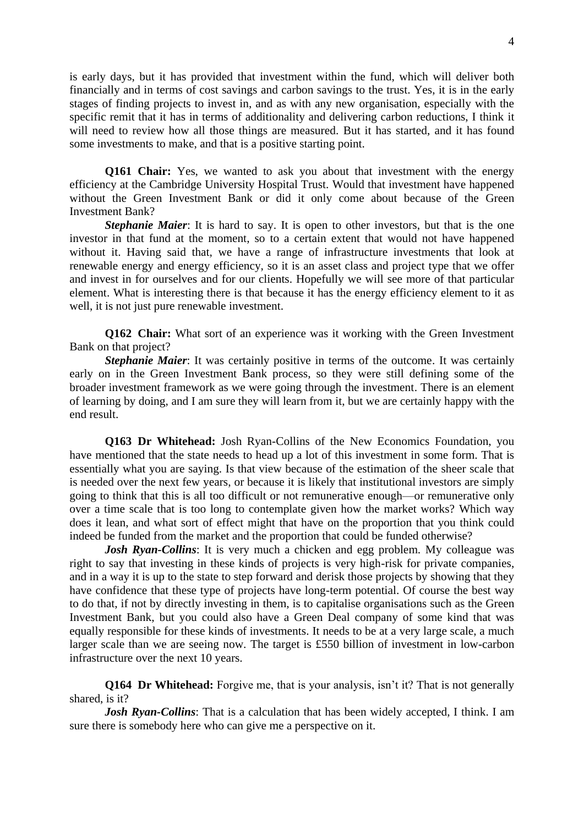is early days, but it has provided that investment within the fund, which will deliver both financially and in terms of cost savings and carbon savings to the trust. Yes, it is in the early stages of finding projects to invest in, and as with any new organisation, especially with the specific remit that it has in terms of additionality and delivering carbon reductions, I think it will need to review how all those things are measured. But it has started, and it has found some investments to make, and that is a positive starting point.

**Q161 Chair:** Yes, we wanted to ask you about that investment with the energy efficiency at the Cambridge University Hospital Trust. Would that investment have happened without the Green Investment Bank or did it only come about because of the Green Investment Bank?

*Stephanie Maier*: It is hard to say. It is open to other investors, but that is the one investor in that fund at the moment, so to a certain extent that would not have happened without it. Having said that, we have a range of infrastructure investments that look at renewable energy and energy efficiency, so it is an asset class and project type that we offer and invest in for ourselves and for our clients. Hopefully we will see more of that particular element. What is interesting there is that because it has the energy efficiency element to it as well, it is not just pure renewable investment.

**Q162 Chair:** What sort of an experience was it working with the Green Investment Bank on that project?

**Stephanie Maier**: It was certainly positive in terms of the outcome. It was certainly early on in the Green Investment Bank process, so they were still defining some of the broader investment framework as we were going through the investment. There is an element of learning by doing, and I am sure they will learn from it, but we are certainly happy with the end result.

**Q163 Dr Whitehead:** Josh Ryan-Collins of the New Economics Foundation, you have mentioned that the state needs to head up a lot of this investment in some form. That is essentially what you are saying. Is that view because of the estimation of the sheer scale that is needed over the next few years, or because it is likely that institutional investors are simply going to think that this is all too difficult or not remunerative enough—or remunerative only over a time scale that is too long to contemplate given how the market works? Which way does it lean, and what sort of effect might that have on the proportion that you think could indeed be funded from the market and the proportion that could be funded otherwise?

*Josh Ryan-Collins*: It is very much a chicken and egg problem. My colleague was right to say that investing in these kinds of projects is very high-risk for private companies, and in a way it is up to the state to step forward and derisk those projects by showing that they have confidence that these type of projects have long-term potential. Of course the best way to do that, if not by directly investing in them, is to capitalise organisations such as the Green Investment Bank, but you could also have a Green Deal company of some kind that was equally responsible for these kinds of investments. It needs to be at a very large scale, a much larger scale than we are seeing now. The target is £550 billion of investment in low-carbon infrastructure over the next 10 years.

**Q164 Dr Whitehead:** Forgive me, that is your analysis, isn't it? That is not generally shared, is it?

*Josh Ryan-Collins*: That is a calculation that has been widely accepted, I think. I am sure there is somebody here who can give me a perspective on it.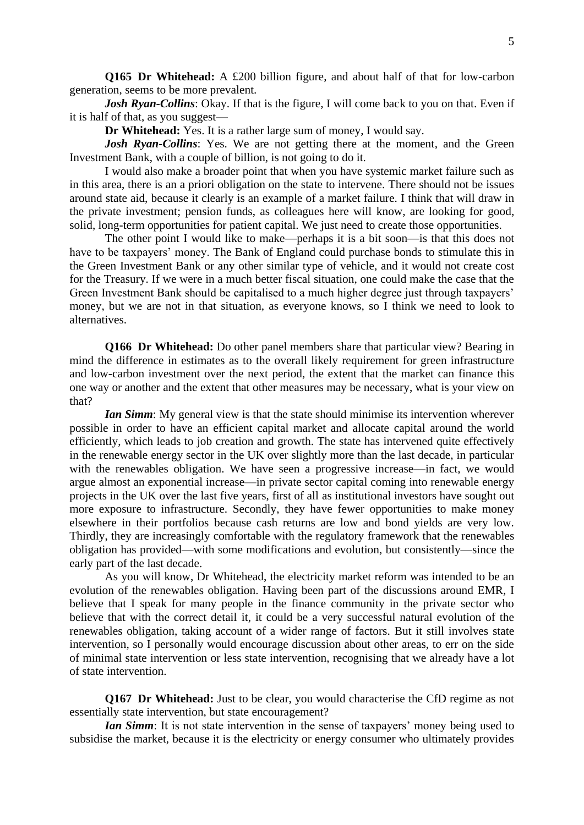**Q165 Dr Whitehead:** A £200 billion figure, and about half of that for low-carbon generation, seems to be more prevalent.

*Josh Ryan-Collins*: Okay. If that is the figure, I will come back to you on that. Even if it is half of that, as you suggest—

**Dr Whitehead:** Yes. It is a rather large sum of money, I would say.

*Josh Ryan-Collins*: Yes. We are not getting there at the moment, and the Green Investment Bank, with a couple of billion, is not going to do it.

I would also make a broader point that when you have systemic market failure such as in this area, there is an a priori obligation on the state to intervene. There should not be issues around state aid, because it clearly is an example of a market failure. I think that will draw in the private investment; pension funds, as colleagues here will know, are looking for good, solid, long-term opportunities for patient capital. We just need to create those opportunities.

The other point I would like to make—perhaps it is a bit soon—is that this does not have to be taxpayers' money. The Bank of England could purchase bonds to stimulate this in the Green Investment Bank or any other similar type of vehicle, and it would not create cost for the Treasury. If we were in a much better fiscal situation, one could make the case that the Green Investment Bank should be capitalised to a much higher degree just through taxpayers' money, but we are not in that situation, as everyone knows, so I think we need to look to alternatives.

**Q166 Dr Whitehead:** Do other panel members share that particular view? Bearing in mind the difference in estimates as to the overall likely requirement for green infrastructure and low-carbon investment over the next period, the extent that the market can finance this one way or another and the extent that other measures may be necessary, what is your view on that?

*Ian Simm*: My general view is that the state should minimise its intervention wherever possible in order to have an efficient capital market and allocate capital around the world efficiently, which leads to job creation and growth. The state has intervened quite effectively in the renewable energy sector in the UK over slightly more than the last decade, in particular with the renewables obligation. We have seen a progressive increase—in fact, we would argue almost an exponential increase—in private sector capital coming into renewable energy projects in the UK over the last five years, first of all as institutional investors have sought out more exposure to infrastructure. Secondly, they have fewer opportunities to make money elsewhere in their portfolios because cash returns are low and bond yields are very low. Thirdly, they are increasingly comfortable with the regulatory framework that the renewables obligation has provided—with some modifications and evolution, but consistently—since the early part of the last decade.

As you will know, Dr Whitehead, the electricity market reform was intended to be an evolution of the renewables obligation. Having been part of the discussions around EMR, I believe that I speak for many people in the finance community in the private sector who believe that with the correct detail it, it could be a very successful natural evolution of the renewables obligation, taking account of a wider range of factors. But it still involves state intervention, so I personally would encourage discussion about other areas, to err on the side of minimal state intervention or less state intervention, recognising that we already have a lot of state intervention.

**Q167 Dr Whitehead:** Just to be clear, you would characterise the CfD regime as not essentially state intervention, but state encouragement?

*Ian Simm*: It is not state intervention in the sense of taxpayers' money being used to subsidise the market, because it is the electricity or energy consumer who ultimately provides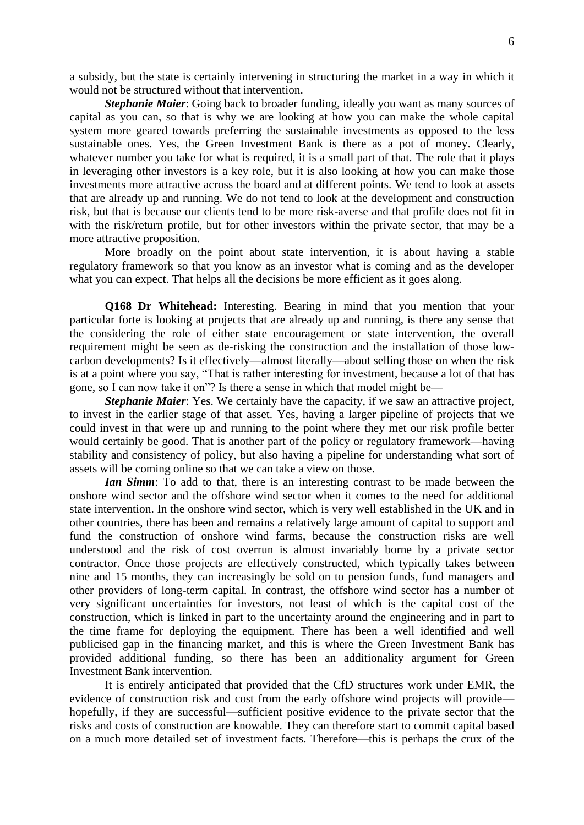a subsidy, but the state is certainly intervening in structuring the market in a way in which it would not be structured without that intervention.

*Stephanie Maier*: Going back to broader funding, ideally you want as many sources of capital as you can, so that is why we are looking at how you can make the whole capital system more geared towards preferring the sustainable investments as opposed to the less sustainable ones. Yes, the Green Investment Bank is there as a pot of money. Clearly, whatever number you take for what is required, it is a small part of that. The role that it plays in leveraging other investors is a key role, but it is also looking at how you can make those investments more attractive across the board and at different points. We tend to look at assets that are already up and running. We do not tend to look at the development and construction risk, but that is because our clients tend to be more risk-averse and that profile does not fit in with the risk/return profile, but for other investors within the private sector, that may be a more attractive proposition.

More broadly on the point about state intervention, it is about having a stable regulatory framework so that you know as an investor what is coming and as the developer what you can expect. That helps all the decisions be more efficient as it goes along.

**Q168 Dr Whitehead:** Interesting. Bearing in mind that you mention that your particular forte is looking at projects that are already up and running, is there any sense that the considering the role of either state encouragement or state intervention, the overall requirement might be seen as de-risking the construction and the installation of those lowcarbon developments? Is it effectively—almost literally—about selling those on when the risk is at a point where you say, "That is rather interesting for investment, because a lot of that has gone, so I can now take it on"? Is there a sense in which that model might be—

*Stephanie Maier*: Yes. We certainly have the capacity, if we saw an attractive project, to invest in the earlier stage of that asset. Yes, having a larger pipeline of projects that we could invest in that were up and running to the point where they met our risk profile better would certainly be good. That is another part of the policy or regulatory framework—having stability and consistency of policy, but also having a pipeline for understanding what sort of assets will be coming online so that we can take a view on those.

*Ian Simm*: To add to that, there is an interesting contrast to be made between the onshore wind sector and the offshore wind sector when it comes to the need for additional state intervention. In the onshore wind sector, which is very well established in the UK and in other countries, there has been and remains a relatively large amount of capital to support and fund the construction of onshore wind farms, because the construction risks are well understood and the risk of cost overrun is almost invariably borne by a private sector contractor. Once those projects are effectively constructed, which typically takes between nine and 15 months, they can increasingly be sold on to pension funds, fund managers and other providers of long-term capital. In contrast, the offshore wind sector has a number of very significant uncertainties for investors, not least of which is the capital cost of the construction, which is linked in part to the uncertainty around the engineering and in part to the time frame for deploying the equipment. There has been a well identified and well publicised gap in the financing market, and this is where the Green Investment Bank has provided additional funding, so there has been an additionality argument for Green Investment Bank intervention.

It is entirely anticipated that provided that the CfD structures work under EMR, the evidence of construction risk and cost from the early offshore wind projects will provide hopefully, if they are successful—sufficient positive evidence to the private sector that the risks and costs of construction are knowable. They can therefore start to commit capital based on a much more detailed set of investment facts. Therefore—this is perhaps the crux of the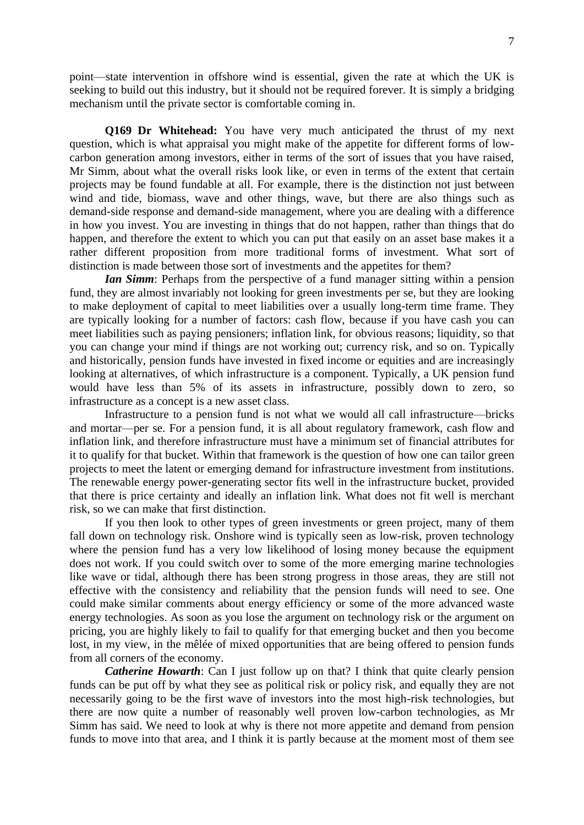point—state intervention in offshore wind is essential, given the rate at which the UK is seeking to build out this industry, but it should not be required forever. It is simply a bridging mechanism until the private sector is comfortable coming in.

**Q169 Dr Whitehead:** You have very much anticipated the thrust of my next question, which is what appraisal you might make of the appetite for different forms of lowcarbon generation among investors, either in terms of the sort of issues that you have raised, Mr Simm, about what the overall risks look like, or even in terms of the extent that certain projects may be found fundable at all. For example, there is the distinction not just between wind and tide, biomass, wave and other things, wave, but there are also things such as demand-side response and demand-side management, where you are dealing with a difference in how you invest. You are investing in things that do not happen, rather than things that do happen, and therefore the extent to which you can put that easily on an asset base makes it a rather different proposition from more traditional forms of investment. What sort of distinction is made between those sort of investments and the appetites for them?

*Ian Simm*: Perhaps from the perspective of a fund manager sitting within a pension fund, they are almost invariably not looking for green investments per se, but they are looking to make deployment of capital to meet liabilities over a usually long-term time frame. They are typically looking for a number of factors: cash flow, because if you have cash you can meet liabilities such as paying pensioners; inflation link, for obvious reasons; liquidity, so that you can change your mind if things are not working out; currency risk, and so on. Typically and historically, pension funds have invested in fixed income or equities and are increasingly looking at alternatives, of which infrastructure is a component. Typically, a UK pension fund would have less than 5% of its assets in infrastructure, possibly down to zero, so infrastructure as a concept is a new asset class.

Infrastructure to a pension fund is not what we would all call infrastructure—bricks and mortar—per se. For a pension fund, it is all about regulatory framework, cash flow and inflation link, and therefore infrastructure must have a minimum set of financial attributes for it to qualify for that bucket. Within that framework is the question of how one can tailor green projects to meet the latent or emerging demand for infrastructure investment from institutions. The renewable energy power-generating sector fits well in the infrastructure bucket, provided that there is price certainty and ideally an inflation link. What does not fit well is merchant risk, so we can make that first distinction.

If you then look to other types of green investments or green project, many of them fall down on technology risk. Onshore wind is typically seen as low-risk, proven technology where the pension fund has a very low likelihood of losing money because the equipment does not work. If you could switch over to some of the more emerging marine technologies like wave or tidal, although there has been strong progress in those areas, they are still not effective with the consistency and reliability that the pension funds will need to see. One could make similar comments about energy efficiency or some of the more advanced waste energy technologies. As soon as you lose the argument on technology risk or the argument on pricing, you are highly likely to fail to qualify for that emerging bucket and then you become lost, in my view, in the mêlée of mixed opportunities that are being offered to pension funds from all corners of the economy.

*Catherine Howarth*: Can I just follow up on that? I think that quite clearly pension funds can be put off by what they see as political risk or policy risk, and equally they are not necessarily going to be the first wave of investors into the most high-risk technologies, but there are now quite a number of reasonably well proven low-carbon technologies, as Mr Simm has said. We need to look at why is there not more appetite and demand from pension funds to move into that area, and I think it is partly because at the moment most of them see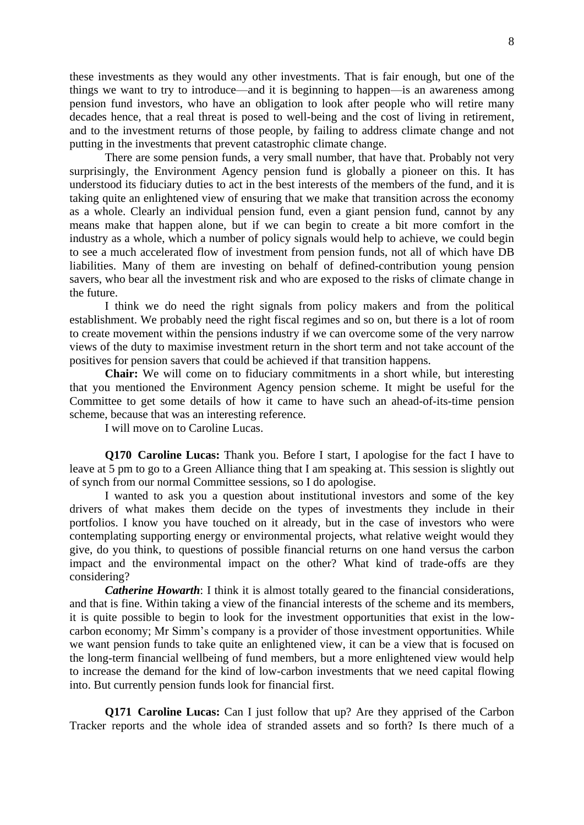these investments as they would any other investments. That is fair enough, but one of the things we want to try to introduce—and it is beginning to happen—is an awareness among pension fund investors, who have an obligation to look after people who will retire many decades hence, that a real threat is posed to well-being and the cost of living in retirement, and to the investment returns of those people, by failing to address climate change and not putting in the investments that prevent catastrophic climate change.

There are some pension funds, a very small number, that have that. Probably not very surprisingly, the Environment Agency pension fund is globally a pioneer on this. It has understood its fiduciary duties to act in the best interests of the members of the fund, and it is taking quite an enlightened view of ensuring that we make that transition across the economy as a whole. Clearly an individual pension fund, even a giant pension fund, cannot by any means make that happen alone, but if we can begin to create a bit more comfort in the industry as a whole, which a number of policy signals would help to achieve, we could begin to see a much accelerated flow of investment from pension funds, not all of which have DB liabilities. Many of them are investing on behalf of defined-contribution young pension savers, who bear all the investment risk and who are exposed to the risks of climate change in the future.

I think we do need the right signals from policy makers and from the political establishment. We probably need the right fiscal regimes and so on, but there is a lot of room to create movement within the pensions industry if we can overcome some of the very narrow views of the duty to maximise investment return in the short term and not take account of the positives for pension savers that could be achieved if that transition happens.

**Chair:** We will come on to fiduciary commitments in a short while, but interesting that you mentioned the Environment Agency pension scheme. It might be useful for the Committee to get some details of how it came to have such an ahead-of-its-time pension scheme, because that was an interesting reference.

I will move on to Caroline Lucas.

**Q170 Caroline Lucas:** Thank you. Before I start, I apologise for the fact I have to leave at 5 pm to go to a Green Alliance thing that I am speaking at. This session is slightly out of synch from our normal Committee sessions, so I do apologise.

I wanted to ask you a question about institutional investors and some of the key drivers of what makes them decide on the types of investments they include in their portfolios. I know you have touched on it already, but in the case of investors who were contemplating supporting energy or environmental projects, what relative weight would they give, do you think, to questions of possible financial returns on one hand versus the carbon impact and the environmental impact on the other? What kind of trade-offs are they considering?

*Catherine Howarth*: I think it is almost totally geared to the financial considerations, and that is fine. Within taking a view of the financial interests of the scheme and its members, it is quite possible to begin to look for the investment opportunities that exist in the lowcarbon economy; Mr Simm's company is a provider of those investment opportunities. While we want pension funds to take quite an enlightened view, it can be a view that is focused on the long-term financial wellbeing of fund members, but a more enlightened view would help to increase the demand for the kind of low-carbon investments that we need capital flowing into. But currently pension funds look for financial first.

**Q171 Caroline Lucas:** Can I just follow that up? Are they apprised of the Carbon Tracker reports and the whole idea of stranded assets and so forth? Is there much of a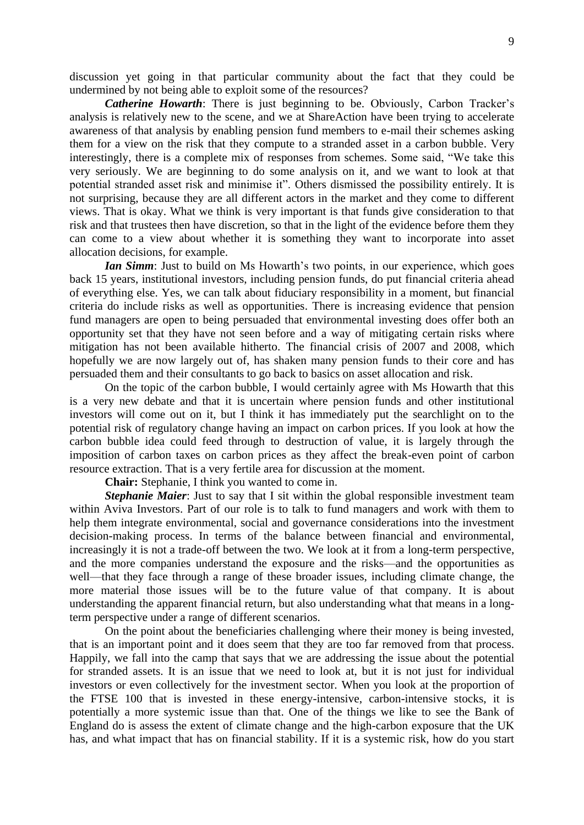discussion yet going in that particular community about the fact that they could be undermined by not being able to exploit some of the resources?

*Catherine Howarth*: There is just beginning to be. Obviously, Carbon Tracker's analysis is relatively new to the scene, and we at ShareAction have been trying to accelerate awareness of that analysis by enabling pension fund members to e-mail their schemes asking them for a view on the risk that they compute to a stranded asset in a carbon bubble. Very interestingly, there is a complete mix of responses from schemes. Some said, "We take this very seriously. We are beginning to do some analysis on it, and we want to look at that potential stranded asset risk and minimise it". Others dismissed the possibility entirely. It is not surprising, because they are all different actors in the market and they come to different views. That is okay. What we think is very important is that funds give consideration to that risk and that trustees then have discretion, so that in the light of the evidence before them they can come to a view about whether it is something they want to incorporate into asset allocation decisions, for example.

*Ian Simm*: Just to build on Ms Howarth's two points, in our experience, which goes back 15 years, institutional investors, including pension funds, do put financial criteria ahead of everything else. Yes, we can talk about fiduciary responsibility in a moment, but financial criteria do include risks as well as opportunities. There is increasing evidence that pension fund managers are open to being persuaded that environmental investing does offer both an opportunity set that they have not seen before and a way of mitigating certain risks where mitigation has not been available hitherto. The financial crisis of 2007 and 2008, which hopefully we are now largely out of, has shaken many pension funds to their core and has persuaded them and their consultants to go back to basics on asset allocation and risk.

On the topic of the carbon bubble, I would certainly agree with Ms Howarth that this is a very new debate and that it is uncertain where pension funds and other institutional investors will come out on it, but I think it has immediately put the searchlight on to the potential risk of regulatory change having an impact on carbon prices. If you look at how the carbon bubble idea could feed through to destruction of value, it is largely through the imposition of carbon taxes on carbon prices as they affect the break-even point of carbon resource extraction. That is a very fertile area for discussion at the moment.

**Chair:** Stephanie, I think you wanted to come in.

**Stephanie Maier**: Just to say that I sit within the global responsible investment team within Aviva Investors. Part of our role is to talk to fund managers and work with them to help them integrate environmental, social and governance considerations into the investment decision-making process. In terms of the balance between financial and environmental, increasingly it is not a trade-off between the two. We look at it from a long-term perspective, and the more companies understand the exposure and the risks—and the opportunities as well—that they face through a range of these broader issues, including climate change, the more material those issues will be to the future value of that company. It is about understanding the apparent financial return, but also understanding what that means in a longterm perspective under a range of different scenarios.

On the point about the beneficiaries challenging where their money is being invested, that is an important point and it does seem that they are too far removed from that process. Happily, we fall into the camp that says that we are addressing the issue about the potential for stranded assets. It is an issue that we need to look at, but it is not just for individual investors or even collectively for the investment sector. When you look at the proportion of the FTSE 100 that is invested in these energy-intensive, carbon-intensive stocks, it is potentially a more systemic issue than that. One of the things we like to see the Bank of England do is assess the extent of climate change and the high-carbon exposure that the UK has, and what impact that has on financial stability. If it is a systemic risk, how do you start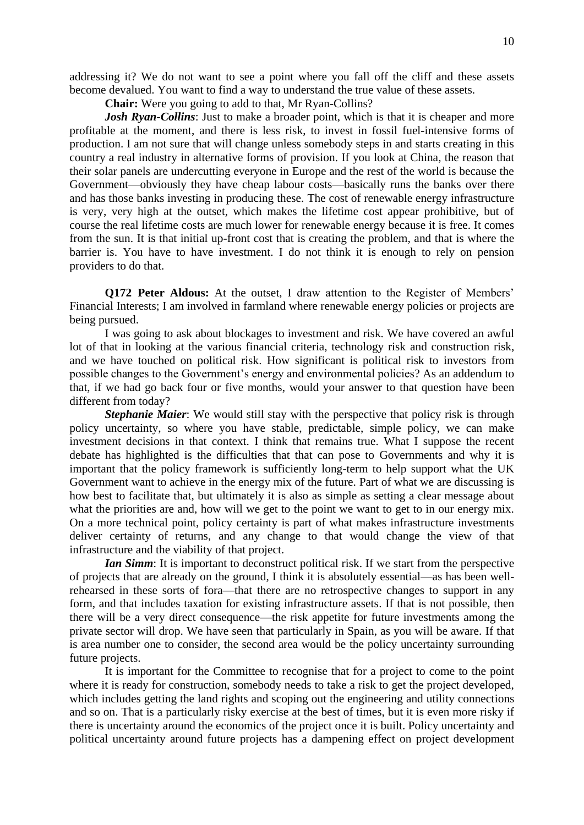addressing it? We do not want to see a point where you fall off the cliff and these assets become devalued. You want to find a way to understand the true value of these assets.

**Chair:** Were you going to add to that, Mr Ryan-Collins?

*Josh Ryan-Collins*: Just to make a broader point, which is that it is cheaper and more profitable at the moment, and there is less risk, to invest in fossil fuel-intensive forms of production. I am not sure that will change unless somebody steps in and starts creating in this country a real industry in alternative forms of provision. If you look at China, the reason that their solar panels are undercutting everyone in Europe and the rest of the world is because the Government—obviously they have cheap labour costs—basically runs the banks over there and has those banks investing in producing these. The cost of renewable energy infrastructure is very, very high at the outset, which makes the lifetime cost appear prohibitive, but of course the real lifetime costs are much lower for renewable energy because it is free. It comes from the sun. It is that initial up-front cost that is creating the problem, and that is where the barrier is. You have to have investment. I do not think it is enough to rely on pension providers to do that.

**Q172 Peter Aldous:** At the outset, I draw attention to the Register of Members' Financial Interests; I am involved in farmland where renewable energy policies or projects are being pursued.

I was going to ask about blockages to investment and risk. We have covered an awful lot of that in looking at the various financial criteria, technology risk and construction risk, and we have touched on political risk. How significant is political risk to investors from possible changes to the Government's energy and environmental policies? As an addendum to that, if we had go back four or five months, would your answer to that question have been different from today?

*Stephanie Maier*: We would still stay with the perspective that policy risk is through policy uncertainty, so where you have stable, predictable, simple policy, we can make investment decisions in that context. I think that remains true. What I suppose the recent debate has highlighted is the difficulties that that can pose to Governments and why it is important that the policy framework is sufficiently long-term to help support what the UK Government want to achieve in the energy mix of the future. Part of what we are discussing is how best to facilitate that, but ultimately it is also as simple as setting a clear message about what the priorities are and, how will we get to the point we want to get to in our energy mix. On a more technical point, policy certainty is part of what makes infrastructure investments deliver certainty of returns, and any change to that would change the view of that infrastructure and the viability of that project.

*Ian Simm*: It is important to deconstruct political risk. If we start from the perspective of projects that are already on the ground, I think it is absolutely essential—as has been wellrehearsed in these sorts of fora—that there are no retrospective changes to support in any form, and that includes taxation for existing infrastructure assets. If that is not possible, then there will be a very direct consequence—the risk appetite for future investments among the private sector will drop. We have seen that particularly in Spain, as you will be aware. If that is area number one to consider, the second area would be the policy uncertainty surrounding future projects.

It is important for the Committee to recognise that for a project to come to the point where it is ready for construction, somebody needs to take a risk to get the project developed, which includes getting the land rights and scoping out the engineering and utility connections and so on. That is a particularly risky exercise at the best of times, but it is even more risky if there is uncertainty around the economics of the project once it is built. Policy uncertainty and political uncertainty around future projects has a dampening effect on project development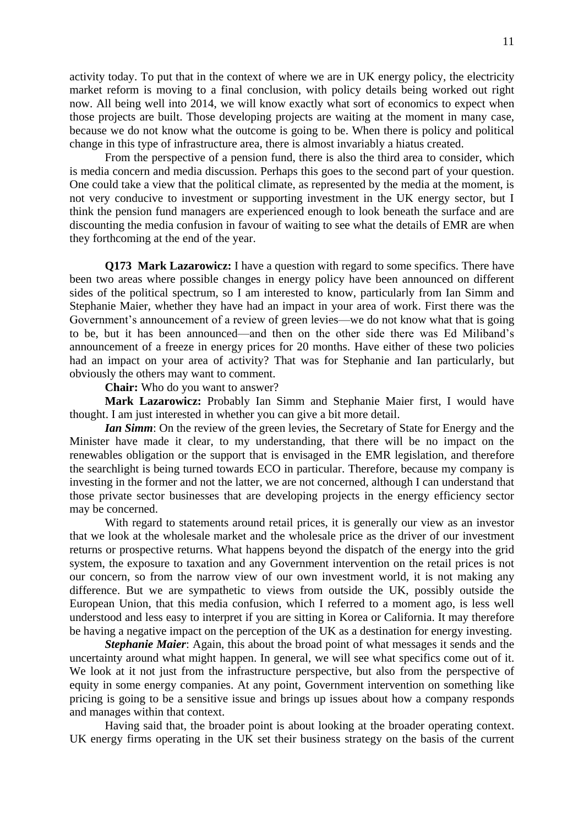activity today. To put that in the context of where we are in UK energy policy, the electricity market reform is moving to a final conclusion, with policy details being worked out right now. All being well into 2014, we will know exactly what sort of economics to expect when those projects are built. Those developing projects are waiting at the moment in many case, because we do not know what the outcome is going to be. When there is policy and political change in this type of infrastructure area, there is almost invariably a hiatus created.

From the perspective of a pension fund, there is also the third area to consider, which is media concern and media discussion. Perhaps this goes to the second part of your question. One could take a view that the political climate, as represented by the media at the moment, is not very conducive to investment or supporting investment in the UK energy sector, but I think the pension fund managers are experienced enough to look beneath the surface and are discounting the media confusion in favour of waiting to see what the details of EMR are when they forthcoming at the end of the year.

**Q173 Mark Lazarowicz:** I have a question with regard to some specifics. There have been two areas where possible changes in energy policy have been announced on different sides of the political spectrum, so I am interested to know, particularly from Ian Simm and Stephanie Maier, whether they have had an impact in your area of work. First there was the Government's announcement of a review of green levies—we do not know what that is going to be, but it has been announced—and then on the other side there was Ed Miliband's announcement of a freeze in energy prices for 20 months. Have either of these two policies had an impact on your area of activity? That was for Stephanie and Ian particularly, but obviously the others may want to comment.

**Chair:** Who do you want to answer?

**Mark Lazarowicz:** Probably Ian Simm and Stephanie Maier first, I would have thought. I am just interested in whether you can give a bit more detail.

*Ian Simm*: On the review of the green levies, the Secretary of State for Energy and the Minister have made it clear, to my understanding, that there will be no impact on the renewables obligation or the support that is envisaged in the EMR legislation, and therefore the searchlight is being turned towards ECO in particular. Therefore, because my company is investing in the former and not the latter, we are not concerned, although I can understand that those private sector businesses that are developing projects in the energy efficiency sector may be concerned.

With regard to statements around retail prices, it is generally our view as an investor that we look at the wholesale market and the wholesale price as the driver of our investment returns or prospective returns. What happens beyond the dispatch of the energy into the grid system, the exposure to taxation and any Government intervention on the retail prices is not our concern, so from the narrow view of our own investment world, it is not making any difference. But we are sympathetic to views from outside the UK, possibly outside the European Union, that this media confusion, which I referred to a moment ago, is less well understood and less easy to interpret if you are sitting in Korea or California. It may therefore be having a negative impact on the perception of the UK as a destination for energy investing.

*Stephanie Maier*: Again, this about the broad point of what messages it sends and the uncertainty around what might happen. In general, we will see what specifics come out of it. We look at it not just from the infrastructure perspective, but also from the perspective of equity in some energy companies. At any point, Government intervention on something like pricing is going to be a sensitive issue and brings up issues about how a company responds and manages within that context.

Having said that, the broader point is about looking at the broader operating context. UK energy firms operating in the UK set their business strategy on the basis of the current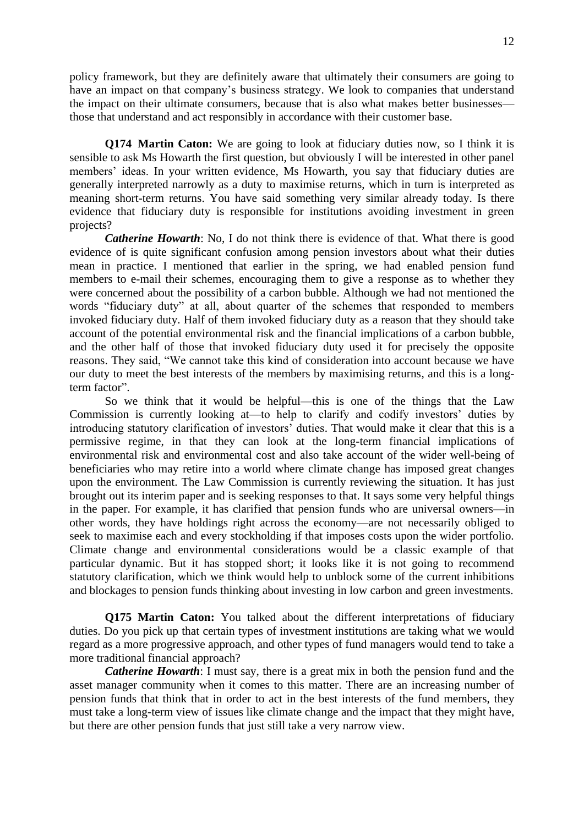policy framework, but they are definitely aware that ultimately their consumers are going to have an impact on that company's business strategy. We look to companies that understand the impact on their ultimate consumers, because that is also what makes better businesses those that understand and act responsibly in accordance with their customer base.

**Q174 Martin Caton:** We are going to look at fiduciary duties now, so I think it is sensible to ask Ms Howarth the first question, but obviously I will be interested in other panel members' ideas. In your written evidence, Ms Howarth, you say that fiduciary duties are generally interpreted narrowly as a duty to maximise returns, which in turn is interpreted as meaning short-term returns. You have said something very similar already today. Is there evidence that fiduciary duty is responsible for institutions avoiding investment in green projects?

*Catherine Howarth*: No, I do not think there is evidence of that. What there is good evidence of is quite significant confusion among pension investors about what their duties mean in practice. I mentioned that earlier in the spring, we had enabled pension fund members to e-mail their schemes, encouraging them to give a response as to whether they were concerned about the possibility of a carbon bubble. Although we had not mentioned the words "fiduciary duty" at all, about quarter of the schemes that responded to members invoked fiduciary duty. Half of them invoked fiduciary duty as a reason that they should take account of the potential environmental risk and the financial implications of a carbon bubble, and the other half of those that invoked fiduciary duty used it for precisely the opposite reasons. They said, "We cannot take this kind of consideration into account because we have our duty to meet the best interests of the members by maximising returns, and this is a longterm factor".

So we think that it would be helpful—this is one of the things that the Law Commission is currently looking at—to help to clarify and codify investors' duties by introducing statutory clarification of investors' duties. That would make it clear that this is a permissive regime, in that they can look at the long-term financial implications of environmental risk and environmental cost and also take account of the wider well-being of beneficiaries who may retire into a world where climate change has imposed great changes upon the environment. The Law Commission is currently reviewing the situation. It has just brought out its interim paper and is seeking responses to that. It says some very helpful things in the paper. For example, it has clarified that pension funds who are universal owners—in other words, they have holdings right across the economy—are not necessarily obliged to seek to maximise each and every stockholding if that imposes costs upon the wider portfolio. Climate change and environmental considerations would be a classic example of that particular dynamic. But it has stopped short; it looks like it is not going to recommend statutory clarification, which we think would help to unblock some of the current inhibitions and blockages to pension funds thinking about investing in low carbon and green investments.

**Q175 Martin Caton:** You talked about the different interpretations of fiduciary duties. Do you pick up that certain types of investment institutions are taking what we would regard as a more progressive approach, and other types of fund managers would tend to take a more traditional financial approach?

*Catherine Howarth*: I must say, there is a great mix in both the pension fund and the asset manager community when it comes to this matter. There are an increasing number of pension funds that think that in order to act in the best interests of the fund members, they must take a long-term view of issues like climate change and the impact that they might have, but there are other pension funds that just still take a very narrow view.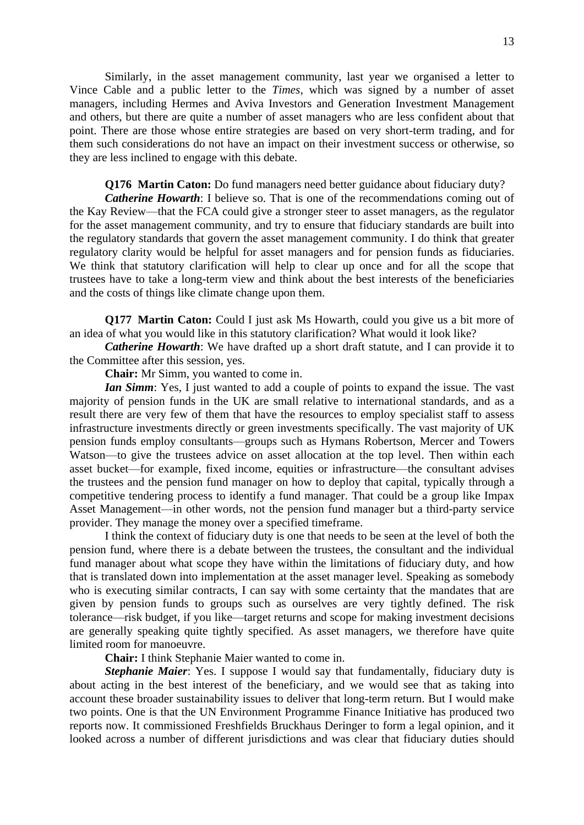Similarly, in the asset management community, last year we organised a letter to Vince Cable and a public letter to the *Times,* which was signed by a number of asset managers, including Hermes and Aviva Investors and Generation Investment Management and others, but there are quite a number of asset managers who are less confident about that point. There are those whose entire strategies are based on very short-term trading, and for them such considerations do not have an impact on their investment success or otherwise, so they are less inclined to engage with this debate.

**Q176 Martin Caton:** Do fund managers need better guidance about fiduciary duty? *Catherine Howarth*: I believe so. That is one of the recommendations coming out of the Kay Review—that the FCA could give a stronger steer to asset managers, as the regulator for the asset management community, and try to ensure that fiduciary standards are built into the regulatory standards that govern the asset management community. I do think that greater regulatory clarity would be helpful for asset managers and for pension funds as fiduciaries. We think that statutory clarification will help to clear up once and for all the scope that trustees have to take a long-term view and think about the best interests of the beneficiaries and the costs of things like climate change upon them.

**Q177 Martin Caton:** Could I just ask Ms Howarth, could you give us a bit more of an idea of what you would like in this statutory clarification? What would it look like?

*Catherine Howarth*: We have drafted up a short draft statute, and I can provide it to the Committee after this session, yes.

**Chair:** Mr Simm, you wanted to come in.

*Ian Simm*: Yes, I just wanted to add a couple of points to expand the issue. The vast majority of pension funds in the UK are small relative to international standards, and as a result there are very few of them that have the resources to employ specialist staff to assess infrastructure investments directly or green investments specifically. The vast majority of UK pension funds employ consultants—groups such as Hymans Robertson, Mercer and Towers Watson—to give the trustees advice on asset allocation at the top level. Then within each asset bucket—for example, fixed income, equities or infrastructure—the consultant advises the trustees and the pension fund manager on how to deploy that capital, typically through a competitive tendering process to identify a fund manager. That could be a group like Impax Asset Management—in other words, not the pension fund manager but a third-party service provider. They manage the money over a specified timeframe.

I think the context of fiduciary duty is one that needs to be seen at the level of both the pension fund, where there is a debate between the trustees, the consultant and the individual fund manager about what scope they have within the limitations of fiduciary duty, and how that is translated down into implementation at the asset manager level. Speaking as somebody who is executing similar contracts, I can say with some certainty that the mandates that are given by pension funds to groups such as ourselves are very tightly defined. The risk tolerance—risk budget, if you like—target returns and scope for making investment decisions are generally speaking quite tightly specified. As asset managers, we therefore have quite limited room for manoeuvre.

**Chair:** I think Stephanie Maier wanted to come in.

*Stephanie Maier*: Yes. I suppose I would say that fundamentally, fiduciary duty is about acting in the best interest of the beneficiary, and we would see that as taking into account these broader sustainability issues to deliver that long-term return. But I would make two points. One is that the UN Environment Programme Finance Initiative has produced two reports now. It commissioned Freshfields Bruckhaus Deringer to form a legal opinion, and it looked across a number of different jurisdictions and was clear that fiduciary duties should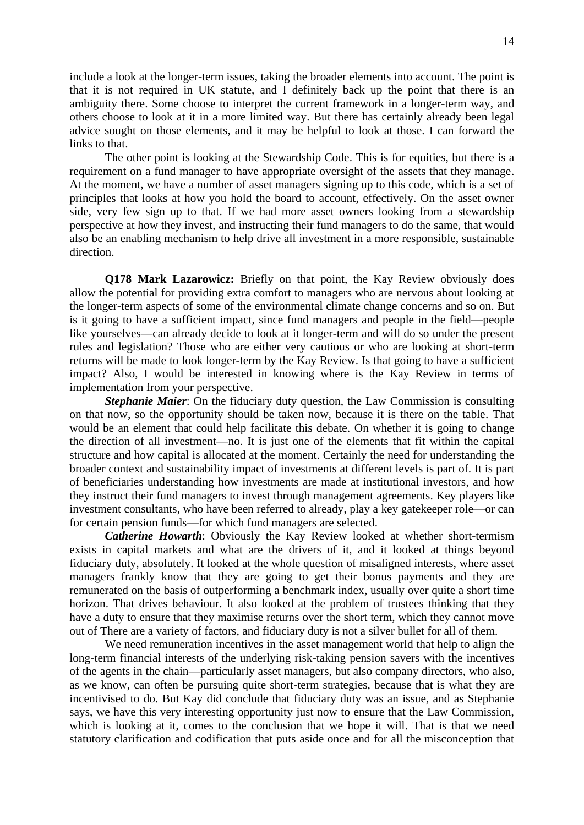include a look at the longer-term issues, taking the broader elements into account. The point is that it is not required in UK statute, and I definitely back up the point that there is an ambiguity there. Some choose to interpret the current framework in a longer-term way, and others choose to look at it in a more limited way. But there has certainly already been legal advice sought on those elements, and it may be helpful to look at those. I can forward the links to that.

The other point is looking at the Stewardship Code. This is for equities, but there is a requirement on a fund manager to have appropriate oversight of the assets that they manage. At the moment, we have a number of asset managers signing up to this code, which is a set of principles that looks at how you hold the board to account, effectively. On the asset owner side, very few sign up to that. If we had more asset owners looking from a stewardship perspective at how they invest, and instructing their fund managers to do the same, that would also be an enabling mechanism to help drive all investment in a more responsible, sustainable direction.

**Q178 Mark Lazarowicz:** Briefly on that point, the Kay Review obviously does allow the potential for providing extra comfort to managers who are nervous about looking at the longer-term aspects of some of the environmental climate change concerns and so on. But is it going to have a sufficient impact, since fund managers and people in the field—people like yourselves—can already decide to look at it longer-term and will do so under the present rules and legislation? Those who are either very cautious or who are looking at short-term returns will be made to look longer-term by the Kay Review. Is that going to have a sufficient impact? Also, I would be interested in knowing where is the Kay Review in terms of implementation from your perspective.

*Stephanie Maier*: On the fiduciary duty question, the Law Commission is consulting on that now, so the opportunity should be taken now, because it is there on the table. That would be an element that could help facilitate this debate. On whether it is going to change the direction of all investment—no. It is just one of the elements that fit within the capital structure and how capital is allocated at the moment. Certainly the need for understanding the broader context and sustainability impact of investments at different levels is part of. It is part of beneficiaries understanding how investments are made at institutional investors, and how they instruct their fund managers to invest through management agreements. Key players like investment consultants, who have been referred to already, play a key gatekeeper role—or can for certain pension funds—for which fund managers are selected.

*Catherine Howarth*: Obviously the Kay Review looked at whether short-termism exists in capital markets and what are the drivers of it, and it looked at things beyond fiduciary duty, absolutely. It looked at the whole question of misaligned interests, where asset managers frankly know that they are going to get their bonus payments and they are remunerated on the basis of outperforming a benchmark index, usually over quite a short time horizon. That drives behaviour. It also looked at the problem of trustees thinking that they have a duty to ensure that they maximise returns over the short term, which they cannot move out of There are a variety of factors, and fiduciary duty is not a silver bullet for all of them.

We need remuneration incentives in the asset management world that help to align the long-term financial interests of the underlying risk-taking pension savers with the incentives of the agents in the chain—particularly asset managers, but also company directors, who also, as we know, can often be pursuing quite short-term strategies, because that is what they are incentivised to do. But Kay did conclude that fiduciary duty was an issue, and as Stephanie says, we have this very interesting opportunity just now to ensure that the Law Commission, which is looking at it, comes to the conclusion that we hope it will. That is that we need statutory clarification and codification that puts aside once and for all the misconception that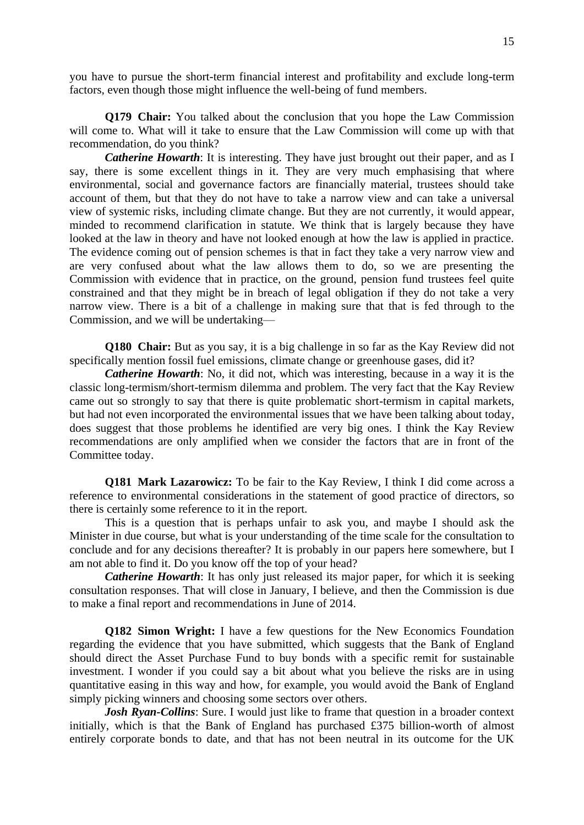you have to pursue the short-term financial interest and profitability and exclude long-term factors, even though those might influence the well-being of fund members.

**Q179 Chair:** You talked about the conclusion that you hope the Law Commission will come to. What will it take to ensure that the Law Commission will come up with that recommendation, do you think?

*Catherine Howarth*: It is interesting. They have just brought out their paper, and as I say, there is some excellent things in it. They are very much emphasising that where environmental, social and governance factors are financially material, trustees should take account of them, but that they do not have to take a narrow view and can take a universal view of systemic risks, including climate change. But they are not currently, it would appear, minded to recommend clarification in statute. We think that is largely because they have looked at the law in theory and have not looked enough at how the law is applied in practice. The evidence coming out of pension schemes is that in fact they take a very narrow view and are very confused about what the law allows them to do, so we are presenting the Commission with evidence that in practice, on the ground, pension fund trustees feel quite constrained and that they might be in breach of legal obligation if they do not take a very narrow view. There is a bit of a challenge in making sure that that is fed through to the Commission, and we will be undertaking—

**Q180 Chair:** But as you say, it is a big challenge in so far as the Kay Review did not specifically mention fossil fuel emissions, climate change or greenhouse gases, did it?

*Catherine Howarth*: No, it did not, which was interesting, because in a way it is the classic long-termism/short-termism dilemma and problem. The very fact that the Kay Review came out so strongly to say that there is quite problematic short-termism in capital markets, but had not even incorporated the environmental issues that we have been talking about today, does suggest that those problems he identified are very big ones. I think the Kay Review recommendations are only amplified when we consider the factors that are in front of the Committee today.

**Q181 Mark Lazarowicz:** To be fair to the Kay Review, I think I did come across a reference to environmental considerations in the statement of good practice of directors, so there is certainly some reference to it in the report.

This is a question that is perhaps unfair to ask you, and maybe I should ask the Minister in due course, but what is your understanding of the time scale for the consultation to conclude and for any decisions thereafter? It is probably in our papers here somewhere, but I am not able to find it. Do you know off the top of your head?

*Catherine Howarth*: It has only just released its major paper, for which it is seeking consultation responses. That will close in January, I believe, and then the Commission is due to make a final report and recommendations in June of 2014.

**Q182 Simon Wright:** I have a few questions for the New Economics Foundation regarding the evidence that you have submitted, which suggests that the Bank of England should direct the Asset Purchase Fund to buy bonds with a specific remit for sustainable investment. I wonder if you could say a bit about what you believe the risks are in using quantitative easing in this way and how, for example, you would avoid the Bank of England simply picking winners and choosing some sectors over others.

*Josh Ryan-Collins*: Sure. I would just like to frame that question in a broader context initially, which is that the Bank of England has purchased £375 billion-worth of almost entirely corporate bonds to date, and that has not been neutral in its outcome for the UK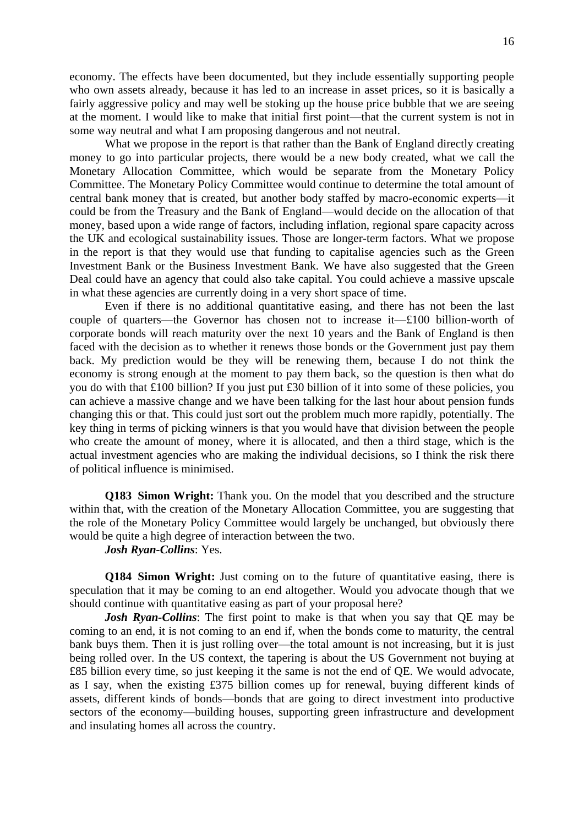economy. The effects have been documented, but they include essentially supporting people who own assets already, because it has led to an increase in asset prices, so it is basically a fairly aggressive policy and may well be stoking up the house price bubble that we are seeing at the moment. I would like to make that initial first point—that the current system is not in some way neutral and what I am proposing dangerous and not neutral.

What we propose in the report is that rather than the Bank of England directly creating money to go into particular projects, there would be a new body created, what we call the Monetary Allocation Committee, which would be separate from the Monetary Policy Committee. The Monetary Policy Committee would continue to determine the total amount of central bank money that is created, but another body staffed by macro-economic experts—it could be from the Treasury and the Bank of England—would decide on the allocation of that money, based upon a wide range of factors, including inflation, regional spare capacity across the UK and ecological sustainability issues. Those are longer-term factors. What we propose in the report is that they would use that funding to capitalise agencies such as the Green Investment Bank or the Business Investment Bank. We have also suggested that the Green Deal could have an agency that could also take capital. You could achieve a massive upscale in what these agencies are currently doing in a very short space of time.

Even if there is no additional quantitative easing, and there has not been the last couple of quarters—the Governor has chosen not to increase it—£100 billion-worth of corporate bonds will reach maturity over the next 10 years and the Bank of England is then faced with the decision as to whether it renews those bonds or the Government just pay them back. My prediction would be they will be renewing them, because I do not think the economy is strong enough at the moment to pay them back, so the question is then what do you do with that £100 billion? If you just put £30 billion of it into some of these policies, you can achieve a massive change and we have been talking for the last hour about pension funds changing this or that. This could just sort out the problem much more rapidly, potentially. The key thing in terms of picking winners is that you would have that division between the people who create the amount of money, where it is allocated, and then a third stage, which is the actual investment agencies who are making the individual decisions, so I think the risk there of political influence is minimised.

**Q183 Simon Wright:** Thank you. On the model that you described and the structure within that, with the creation of the Monetary Allocation Committee, you are suggesting that the role of the Monetary Policy Committee would largely be unchanged, but obviously there would be quite a high degree of interaction between the two.

*Josh Ryan-Collins*: Yes.

**Q184 Simon Wright:** Just coming on to the future of quantitative easing, there is speculation that it may be coming to an end altogether. Would you advocate though that we should continue with quantitative easing as part of your proposal here?

*Josh Ryan-Collins*: The first point to make is that when you say that QE may be coming to an end, it is not coming to an end if, when the bonds come to maturity, the central bank buys them. Then it is just rolling over—the total amount is not increasing, but it is just being rolled over. In the US context, the tapering is about the US Government not buying at £85 billion every time, so just keeping it the same is not the end of QE. We would advocate, as I say, when the existing £375 billion comes up for renewal, buying different kinds of assets, different kinds of bonds—bonds that are going to direct investment into productive sectors of the economy—building houses, supporting green infrastructure and development and insulating homes all across the country.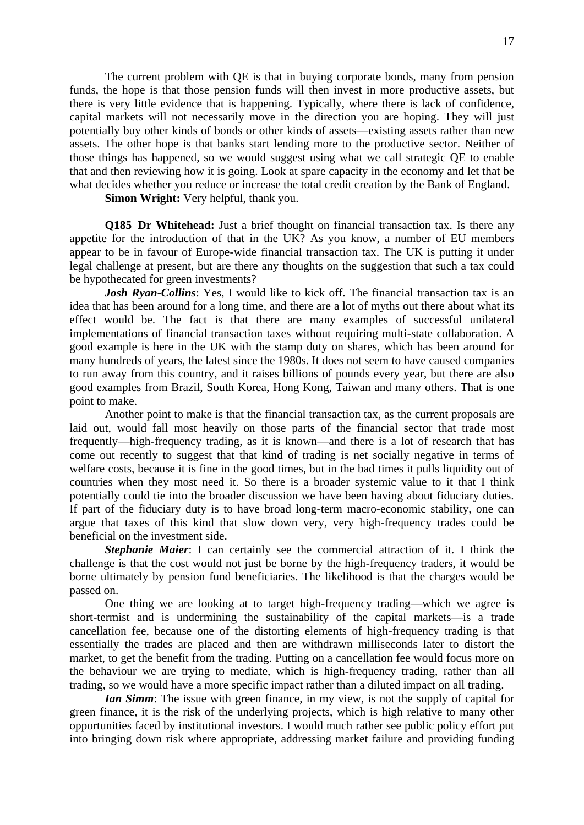The current problem with QE is that in buying corporate bonds, many from pension funds, the hope is that those pension funds will then invest in more productive assets, but there is very little evidence that is happening. Typically, where there is lack of confidence, capital markets will not necessarily move in the direction you are hoping. They will just potentially buy other kinds of bonds or other kinds of assets—existing assets rather than new assets. The other hope is that banks start lending more to the productive sector. Neither of those things has happened, so we would suggest using what we call strategic QE to enable that and then reviewing how it is going. Look at spare capacity in the economy and let that be what decides whether you reduce or increase the total credit creation by the Bank of England.

**Simon Wright:** Very helpful, thank you.

**Q185 Dr Whitehead:** Just a brief thought on financial transaction tax. Is there any appetite for the introduction of that in the UK? As you know, a number of EU members appear to be in favour of Europe-wide financial transaction tax. The UK is putting it under legal challenge at present, but are there any thoughts on the suggestion that such a tax could be hypothecated for green investments?

*Josh Ryan-Collins*: Yes, I would like to kick off. The financial transaction tax is an idea that has been around for a long time, and there are a lot of myths out there about what its effect would be. The fact is that there are many examples of successful unilateral implementations of financial transaction taxes without requiring multi-state collaboration. A good example is here in the UK with the stamp duty on shares, which has been around for many hundreds of years, the latest since the 1980s. It does not seem to have caused companies to run away from this country, and it raises billions of pounds every year, but there are also good examples from Brazil, South Korea, Hong Kong, Taiwan and many others. That is one point to make.

Another point to make is that the financial transaction tax, as the current proposals are laid out, would fall most heavily on those parts of the financial sector that trade most frequently—high-frequency trading, as it is known—and there is a lot of research that has come out recently to suggest that that kind of trading is net socially negative in terms of welfare costs, because it is fine in the good times, but in the bad times it pulls liquidity out of countries when they most need it. So there is a broader systemic value to it that I think potentially could tie into the broader discussion we have been having about fiduciary duties. If part of the fiduciary duty is to have broad long-term macro-economic stability, one can argue that taxes of this kind that slow down very, very high-frequency trades could be beneficial on the investment side.

*Stephanie Maier*: I can certainly see the commercial attraction of it. I think the challenge is that the cost would not just be borne by the high-frequency traders, it would be borne ultimately by pension fund beneficiaries. The likelihood is that the charges would be passed on.

One thing we are looking at to target high-frequency trading—which we agree is short-termist and is undermining the sustainability of the capital markets—is a trade cancellation fee, because one of the distorting elements of high-frequency trading is that essentially the trades are placed and then are withdrawn milliseconds later to distort the market, to get the benefit from the trading. Putting on a cancellation fee would focus more on the behaviour we are trying to mediate, which is high-frequency trading, rather than all trading, so we would have a more specific impact rather than a diluted impact on all trading.

*Ian Simm*: The issue with green finance, in my view, is not the supply of capital for green finance, it is the risk of the underlying projects, which is high relative to many other opportunities faced by institutional investors. I would much rather see public policy effort put into bringing down risk where appropriate, addressing market failure and providing funding